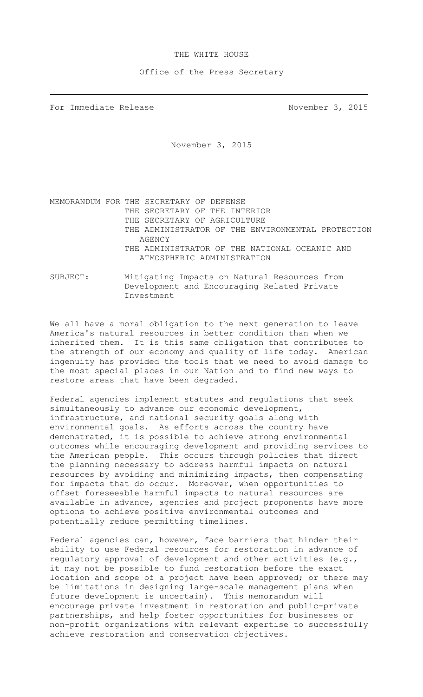## THE WHITE HOUSE

## Office of the Press Secretary

For Immediate Release November 3, 2015

November 3, 2015

MEMORANDUM FOR THE SECRETARY OF DEFENSE THE SECRETARY OF THE INTERIOR THE SECRETARY OF AGRICULTURE THE ADMINISTRATOR OF THE ENVIRONMENTAL PROTECTION AGENCY THE ADMINISTRATOR OF THE NATIONAL OCEANIC AND ATMOSPHERIC ADMINISTRATION

SUBJECT: Mitigating Impacts on Natural Resources from Development and Encouraging Related Private Investment

We all have a moral obligation to the next generation to leave America's natural resources in better condition than when we inherited them. It is this same obligation that contributes to the strength of our economy and quality of life today. American ingenuity has provided the tools that we need to avoid damage to the most special places in our Nation and to find new ways to restore areas that have been degraded.

Federal agencies implement statutes and regulations that seek simultaneously to advance our economic development, infrastructure, and national security goals along with environmental goals. As efforts across the country have demonstrated, it is possible to achieve strong environmental outcomes while encouraging development and providing services to the American people. This occurs through policies that direct the planning necessary to address harmful impacts on natural resources by avoiding and minimizing impacts, then compensating for impacts that do occur. Moreover, when opportunities to offset foreseeable harmful impacts to natural resources are available in advance, agencies and project proponents have more options to achieve positive environmental outcomes and potentially reduce permitting timelines.

Federal agencies can, however, face barriers that hinder their ability to use Federal resources for restoration in advance of regulatory approval of development and other activities (e.g., it may not be possible to fund restoration before the exact location and scope of a project have been approved; or there may be limitations in designing large-scale management plans when future development is uncertain). This memorandum will encourage private investment in restoration and public-private partnerships, and help foster opportunities for businesses or non-profit organizations with relevant expertise to successfully achieve restoration and conservation objectives.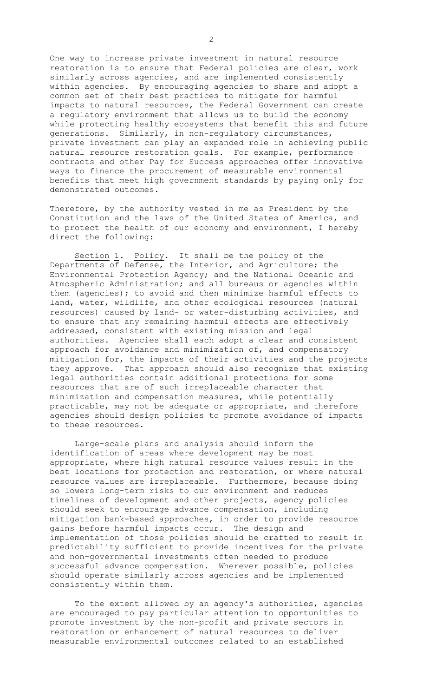One way to increase private investment in natural resource restoration is to ensure that Federal policies are clear, work similarly across agencies, and are implemented consistently within agencies. By encouraging agencies to share and adopt a common set of their best practices to mitigate for harmful impacts to natural resources, the Federal Government can create a regulatory environment that allows us to build the economy while protecting healthy ecosystems that benefit this and future generations. Similarly, in non-regulatory circumstances, private investment can play an expanded role in achieving public natural resource restoration goals. For example, performance contracts and other Pay for Success approaches offer innovative ways to finance the procurement of measurable environmental benefits that meet high government standards by paying only for demonstrated outcomes.

Therefore, by the authority vested in me as President by the Constitution and the laws of the United States of America, and to protect the health of our economy and environment, I hereby direct the following:

Section 1. Policy. It shall be the policy of the Departments of Defense, the Interior, and Agriculture; the Environmental Protection Agency; and the National Oceanic and Atmospheric Administration; and all bureaus or agencies within them (agencies); to avoid and then minimize harmful effects to land, water, wildlife, and other ecological resources (natural resources) caused by land- or water-disturbing activities, and to ensure that any remaining harmful effects are effectively addressed, consistent with existing mission and legal authorities. Agencies shall each adopt a clear and consistent approach for avoidance and minimization of, and compensatory mitigation for, the impacts of their activities and the projects they approve. That approach should also recognize that existing legal authorities contain additional protections for some resources that are of such irreplaceable character that minimization and compensation measures, while potentially practicable, may not be adequate or appropriate, and therefore agencies should design policies to promote avoidance of impacts to these resources.

Large-scale plans and analysis should inform the identification of areas where development may be most appropriate, where high natural resource values result in the best locations for protection and restoration, or where natural resource values are irreplaceable. Furthermore, because doing so lowers long-term risks to our environment and reduces timelines of development and other projects, agency policies should seek to encourage advance compensation, including mitigation bank-based approaches, in order to provide resource gains before harmful impacts occur. The design and implementation of those policies should be crafted to result in predictability sufficient to provide incentives for the private and non-governmental investments often needed to produce successful advance compensation. Wherever possible, policies should operate similarly across agencies and be implemented consistently within them.

To the extent allowed by an agency's authorities, agencies are encouraged to pay particular attention to opportunities to promote investment by the non-profit and private sectors in restoration or enhancement of natural resources to deliver measurable environmental outcomes related to an established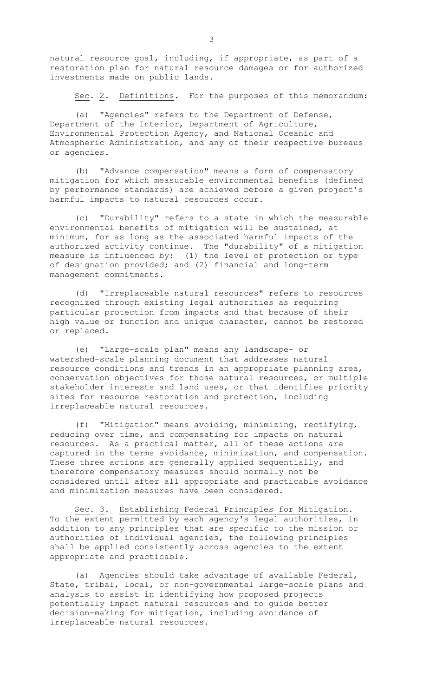natural resource goal, including, if appropriate, as part of a restoration plan for natural resource damages or for authorized investments made on public lands.

Sec. 2. Definitions. For the purposes of this memorandum:

(a) "Agencies" refers to the Department of Defense, Department of the Interior, Department of Agriculture, Environmental Protection Agency, and National Oceanic and Atmospheric Administration, and any of their respective bureaus or agencies.

(b) "Advance compensation" means a form of compensatory mitigation for which measurable environmental benefits (defined by performance standards) are achieved before a given project's harmful impacts to natural resources occur.

(c) "Durability" refers to a state in which the measurable environmental benefits of mitigation will be sustained, at minimum, for as long as the associated harmful impacts of the authorized activity continue. The "durability" of a mitigation measure is influenced by: (1) the level of protection or type of designation provided; and (2) financial and long-term management commitments.

(d) "Irreplaceable natural resources" refers to resources recognized through existing legal authorities as requiring particular protection from impacts and that because of their high value or function and unique character, cannot be restored or replaced.

(e) "Large-scale plan" means any landscape- or watershed-scale planning document that addresses natural resource conditions and trends in an appropriate planning area, conservation objectives for those natural resources, or multiple stakeholder interests and land uses, or that identifies priority sites for resource restoration and protection, including irreplaceable natural resources.

(f) "Mitigation" means avoiding, minimizing, rectifying, reducing over time, and compensating for impacts on natural resources. As a practical matter, all of these actions are captured in the terms avoidance, minimization, and compensation. These three actions are generally applied sequentially, and therefore compensatory measures should normally not be considered until after all appropriate and practicable avoidance and minimization measures have been considered.

Sec. 3. Establishing Federal Principles for Mitigation. To the extent permitted by each agency's legal authorities, in addition to any principles that are specific to the mission or authorities of individual agencies, the following principles shall be applied consistently across agencies to the extent appropriate and practicable.

(a) Agencies should take advantage of available Federal, State, tribal, local, or non-governmental large-scale plans and analysis to assist in identifying how proposed projects potentially impact natural resources and to guide better decision-making for mitigation, including avoidance of irreplaceable natural resources.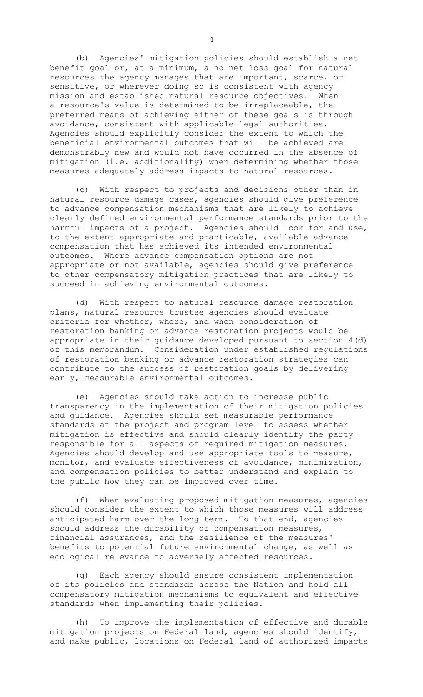(b) Agencies' mitigation policies should establish a net benefit goal or, at a minimum, a no net loss goal for natural resources the agency manages that are important, scarce, or sensitive, or wherever doing so is consistent with agency mission and established natural resource objectives. When a resource's value is determined to be irreplaceable, the preferred means of achieving either of these goals is through avoidance, consistent with applicable legal authorities. Agencies should explicitly consider the extent to which the beneficial environmental outcomes that will be achieved are demonstrably new and would not have occurred in the absence of mitigation (i.e. additionality) when determining whether those measures adequately address impacts to natural resources.

(c) With respect to projects and decisions other than in natural resource damage cases, agencies should give preference to advance compensation mechanisms that are likely to achieve clearly defined environmental performance standards prior to the harmful impacts of a project. Agencies should look for and use, to the extent appropriate and practicable, available advance compensation that has achieved its intended environmental outcomes. Where advance compensation options are not appropriate or not available, agencies should give preference to other compensatory mitigation practices that are likely to succeed in achieving environmental outcomes.

(d) With respect to natural resource damage restoration plans, natural resource trustee agencies should evaluate criteria for whether, where, and when consideration of restoration banking or advance restoration projects would be appropriate in their guidance developed pursuant to section 4(d) of this memorandum. Consideration under established regulations of restoration banking or advance restoration strategies can contribute to the success of restoration goals by delivering early, measurable environmental outcomes.

(e) Agencies should take action to increase public transparency in the implementation of their mitigation policies and guidance. Agencies should set measurable performance standards at the project and program level to assess whether mitigation is effective and should clearly identify the party responsible for all aspects of required mitigation measures. Agencies should develop and use appropriate tools to measure, monitor, and evaluate effectiveness of avoidance, minimization, and compensation policies to better understand and explain to the public how they can be improved over time.

(f) When evaluating proposed mitigation measures, agencies should consider the extent to which those measures will address anticipated harm over the long term. To that end, agencies should address the durability of compensation measures, financial assurances, and the resilience of the measures' benefits to potential future environmental change, as well as ecological relevance to adversely affected resources.

(g) Each agency should ensure consistent implementation of its policies and standards across the Nation and hold all compensatory mitigation mechanisms to equivalent and effective standards when implementing their policies.

(h) To improve the implementation of effective and durable mitigation projects on Federal land, agencies should identify, and make public, locations on Federal land of authorized impacts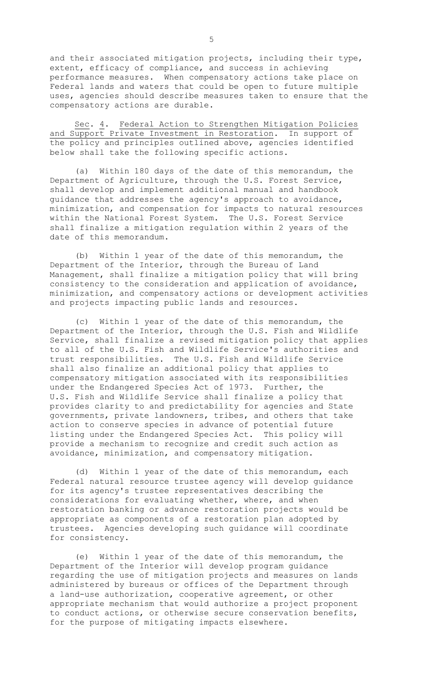and their associated mitigation projects, including their type, extent, efficacy of compliance, and success in achieving performance measures. When compensatory actions take place on Federal lands and waters that could be open to future multiple uses, agencies should describe measures taken to ensure that the compensatory actions are durable.

Sec. 4. Federal Action to Strengthen Mitigation Policies and Support Private Investment in Restoration. In support of the policy and principles outlined above, agencies identified below shall take the following specific actions.

(a) Within 180 days of the date of this memorandum, the Department of Agriculture, through the U.S. Forest Service, shall develop and implement additional manual and handbook guidance that addresses the agency's approach to avoidance, minimization, and compensation for impacts to natural resources within the National Forest System. The U.S. Forest Service shall finalize a mitigation regulation within 2 years of the date of this memorandum.

(b) Within 1 year of the date of this memorandum, the Department of the Interior, through the Bureau of Land Management, shall finalize a mitigation policy that will bring consistency to the consideration and application of avoidance, minimization, and compensatory actions or development activities and projects impacting public lands and resources.

(c) Within 1 year of the date of this memorandum, the Department of the Interior, through the U.S. Fish and Wildlife Service, shall finalize a revised mitigation policy that applies to all of the U.S. Fish and Wildlife Service's authorities and trust responsibilities. The U.S. Fish and Wildlife Service shall also finalize an additional policy that applies to compensatory mitigation associated with its responsibilities under the Endangered Species Act of 1973. Further, the U.S. Fish and Wildlife Service shall finalize a policy that provides clarity to and predictability for agencies and State governments, private landowners, tribes, and others that take action to conserve species in advance of potential future listing under the Endangered Species Act. This policy will provide a mechanism to recognize and credit such action as avoidance, minimization, and compensatory mitigation.

(d) Within 1 year of the date of this memorandum, each Federal natural resource trustee agency will develop guidance for its agency's trustee representatives describing the considerations for evaluating whether, where, and when restoration banking or advance restoration projects would be appropriate as components of a restoration plan adopted by trustees. Agencies developing such guidance will coordinate for consistency.

(e) Within 1 year of the date of this memorandum, the Department of the Interior will develop program guidance regarding the use of mitigation projects and measures on lands administered by bureaus or offices of the Department through a land-use authorization, cooperative agreement, or other appropriate mechanism that would authorize a project proponent to conduct actions, or otherwise secure conservation benefits, for the purpose of mitigating impacts elsewhere.